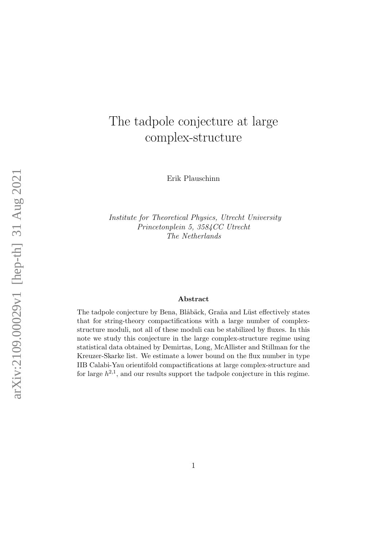# The tadpole conjecture at large complex-structure

Erik Plauschinn

Institute for Theoretical Physics, Utrecht University Princetonplein 5, 3584CC Utrecht The Netherlands

### Abstract

The tadpole conjecture by Bena, Blåbäck, Graña and Lüst effectively states that for string-theory compactifications with a large number of complexstructure moduli, not all of these moduli can be stabilized by fluxes. In this note we study this conjecture in the large complex-structure regime using statistical data obtained by Demirtas, Long, McAllister and Stillman for the Kreuzer-Skarke list. We estimate a lower bound on the flux number in type IIB Calabi-Yau orientifold compactifications at large complex-structure and for large  $h^{2,1}$ , and our results support the tadpole conjecture in this regime.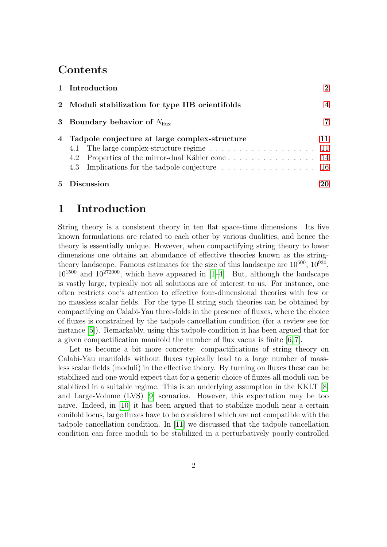# Contents

| 5 Discussion                                                                                       | 20                       |
|----------------------------------------------------------------------------------------------------|--------------------------|
| 4.2 Properties of the mirror-dual Kähler cone 14<br>4.3 Implications for the tadpole conjecture 16 |                          |
| 4.1 The large complex-structure regime 11                                                          |                          |
| 4 Tadpole conjecture at large complex-structure                                                    | 11                       |
| 3 Boundary behavior of $N_{\text{flux}}$                                                           | 7                        |
| 2 Moduli stabilization for type IIB orientifolds                                                   | $\overline{\mathcal{A}}$ |
| 1 Introduction                                                                                     | $\mathcal{D}$            |

# <span id="page-1-0"></span>1 Introduction

String theory is a consistent theory in ten flat space-time dimensions. Its five known formulations are related to each other by various dualities, and hence the theory is essentially unique. However, when compactifying string theory to lower dimensions one obtains an abundance of effective theories known as the stringtheory landscape. Famous estimates for the size of this landscape are  $10^{500}$ ,  $10^{930}$ ,  $10^{1500}$  and  $10^{272000}$ , which have appeared in [\[1–](#page-21-0)[4\]](#page-21-1). But, although the landscape is vastly large, typically not all solutions are of interest to us. For instance, one often restricts one's attention to effective four-dimensional theories with few or no massless scalar fields. For the type II string such theories can be obtained by compactifying on Calabi-Yau three-folds in the presence of fluxes, where the choice of fluxes is constrained by the tadpole cancellation condition (for a review see for instance [\[5\]](#page-21-2)). Remarkably, using this tadpole condition it has been argued that for a given compactification manifold the number of flux vacua is finite [\[6,](#page-21-3) [7\]](#page-21-4).

Let us become a bit more concrete: compactifications of string theory on Calabi-Yau manifolds without fluxes typically lead to a large number of massless scalar fields (moduli) in the effective theory. By turning on fluxes these can be stabilized and one would expect that for a generic choice of fluxes all moduli can be stabilized in a suitable regime. This is an underlying assumption in the KKLT [\[8\]](#page-21-5) and Large-Volume (LVS) [\[9\]](#page-21-6) scenarios. However, this expectation may be too naive. Indeed, in [\[10\]](#page-21-7) it has been argued that to stabilize moduli near a certain conifold locus, large fluxes have to be considered which are not compatible with the tadpole cancellation condition. In [\[11\]](#page-21-8) we discussed that the tadpole cancellation condition can force moduli to be stabilized in a perturbatively poorly-controlled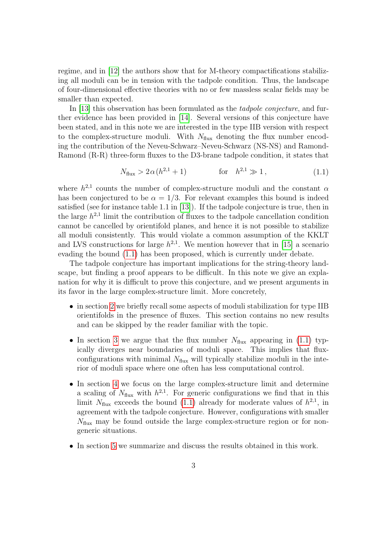regime, and in [\[12\]](#page-21-9) the authors show that for M-theory compactifications stabilizing all moduli can be in tension with the tadpole condition. Thus, the landscape of four-dimensional effective theories with no or few massless scalar fields may be smaller than expected.

In [\[13\]](#page-21-10) this observation has been formulated as the tadpole conjecture, and further evidence has been provided in [\[14\]](#page-21-11). Several versions of this conjecture have been stated, and in this note we are interested in the type IIB version with respect to the complex-structure moduli. With  $N_{\text{flux}}$  denoting the flux number encoding the contribution of the Neveu-Schwarz–Neveu-Schwarz (NS-NS) and Ramond-Ramond (R-R) three-form fluxes to the D3-brane tadpole condition, it states that

$$
N_{\text{flux}} > 2\alpha (h^{2,1} + 1) \qquad \text{for} \quad h^{2,1} \gg 1, \tag{1.1}
$$

<span id="page-2-0"></span>where  $h^{2,1}$  counts the number of complex-structure moduli and the constant  $\alpha$ has been conjectured to be  $\alpha = 1/3$ . For relevant examples this bound is indeed satisfied (see for instance table 1.1 in [\[13\]](#page-21-10)). If the tadpole conjecture is true, then in the large  $h^{2,1}$  limit the contribution of fluxes to the tadpole cancellation condition cannot be cancelled by orientifold planes, and hence it is not possible to stabilize all moduli consistently. This would violate a common assumption of the KKLT and LVS constructions for large  $h^{2,1}$ . We mention however that in [\[15\]](#page-22-0) a scenario evading the bound [\(1.1\)](#page-2-0) has been proposed, which is currently under debate.

The tadpole conjecture has important implications for the string-theory landscape, but finding a proof appears to be difficult. In this note we give an explanation for why it is difficult to prove this conjecture, and we present arguments in its favor in the large complex-structure limit. More concretely,

- in section [2](#page-3-0) we briefly recall some aspects of moduli stabilization for type IIB orientifolds in the presence of fluxes. This section contains no new results and can be skipped by the reader familiar with the topic.
- In section [3](#page-6-0) we argue that the flux number  $N_{\text{flux}}$  appearing in [\(1.1\)](#page-2-0) typically diverges near boundaries of moduli space. This implies that fluxconfigurations with minimal  $N_{\text{flux}}$  will typically stabilize moduli in the interior of moduli space where one often has less computational control.
- In section [4](#page-10-0) we focus on the large complex-structure limit and determine a scaling of  $N_{\text{flux}}$  with  $h^{2,1}$ . For generic configurations we find that in this limit  $N_{\text{flux}}$  exceeds the bound [\(1.1\)](#page-2-0) already for moderate values of  $h^{2,1}$ , in agreement with the tadpole conjecture. However, configurations with smaller  $N_{\text{flux}}$  may be found outside the large complex-structure region or for nongeneric situations.
- In section [5](#page-19-0) we summarize and discuss the results obtained in this work.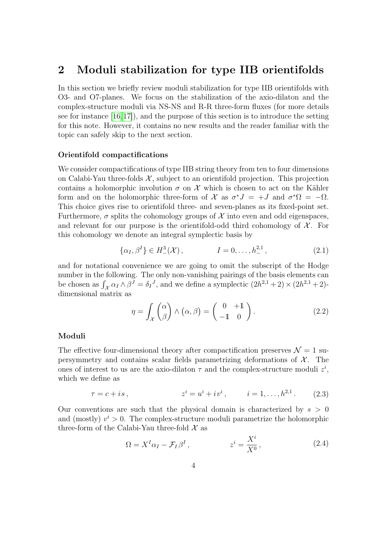### <span id="page-3-0"></span>2 Moduli stabilization for type IIB orientifolds

In this section we briefly review moduli stabilization for type IIB orientifolds with O3- and O7-planes. We focus on the stabilization of the axio-dilaton and the complex-structure moduli via NS-NS and R-R three-form fluxes (for more details see for instance [\[16,](#page-22-1)[17\]](#page-22-2)), and the purpose of this section is to introduce the setting for this note. However, it contains no new results and the reader familiar with the topic can safely skip to the next section.

### Orientifold compactifications

We consider compactifications of type IIB string theory from ten to four dimensions on Calabi-Yau three-folds  $X$ , subject to an orientifold projection. This projection contains a holomorphic involution  $\sigma$  on X which is chosen to act on the Kähler form and on the holomorphic three-form of X as  $\sigma^* J = +J$  and  $\sigma^* \Omega = -\Omega$ . This choice gives rise to orientifold three- and seven-planes as its fixed-point set. Furthermore,  $\sigma$  splits the cohomology groups of X into even and odd eigenspaces, and relevant for our purpose is the orientifold-odd third cohomology of  $\mathcal{X}$ . For this cohomology we denote an integral symplectic basis by

$$
\{\alpha_I, \beta^I\} \in H^3_-(\mathcal{X}), \qquad I = 0, \dots, h^{2,1}_-, \qquad (2.1)
$$

<span id="page-3-1"></span>and for notational convenience we are going to omit the subscript of the Hodge number in the following. The only non-vanishing pairings of the basis elements can be chosen as  $\int_{\mathcal{X}} \alpha_I \wedge \beta^J = \delta_I^J$ , and we define a symplectic  $(2h^{2,1} + 2) \times (2h^{2,1} + 2)$ dimensional matrix as

$$
\eta = \int_{\mathcal{X}} \binom{\alpha}{\beta} \wedge (\alpha, \beta) = \binom{0}{-1} \cdot \tag{2.2}
$$

### <span id="page-3-3"></span>Moduli

The effective four-dimensional theory after compactification preserves  $\mathcal{N} = 1$  supersymmetry and contains scalar fields parametrizing deformations of  $X$ . The ones of interest to us are the axio-dilaton  $\tau$  and the complex-structure moduli  $z^i$ , which we define as

$$
\tau = c + is, \qquad \qquad z^i = u^i + iv^i, \qquad i = 1, \dots, h^{2,1}.
$$
 (2.3)

<span id="page-3-2"></span>Our conventions are such that the physical domain is characterized by  $s > 0$ and (mostly)  $v^i > 0$ . The complex-structure moduli parametrize the holomorphic three-form of the Calabi-Yau three-fold  $\mathcal X$  as

$$
\Omega = X^I \alpha_I - \mathcal{F}_I \beta^I, \qquad z^i = \frac{X^i}{X^0}, \qquad (2.4)
$$

 $\ddot{x}$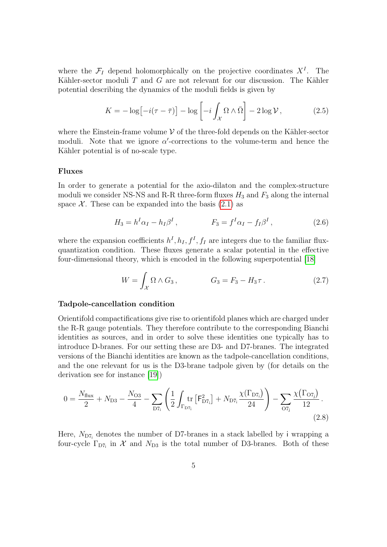where the  $\mathcal{F}_I$  depend holomorphically on the projective coordinates  $X^I$ . The Kähler-sector moduli  $T$  and  $G$  are not relevant for our discussion. The Kähler potential describing the dynamics of the moduli fields is given by

$$
K = -\log\left[-i(\tau - \bar{\tau})\right] - \log\left[-i\int_{\mathcal{X}} \Omega \wedge \bar{\Omega}\right] - 2\log \mathcal{V},\tag{2.5}
$$

<span id="page-4-1"></span>where the Einstein-frame volume  $V$  of the three-fold depends on the Kähler-sector moduli. Note that we ignore  $\alpha'$ -corrections to the volume-term and hence the Kähler potential is of no-scale type.

### Fluxes

In order to generate a potential for the axio-dilaton and the complex-structure moduli we consider NS-NS and R-R three-form fluxes  $H_3$  and  $F_3$  along the internal space  $\mathcal{X}$ . These can be expanded into the basis [\(2.1\)](#page-3-1) as

$$
H_3 = h^I \alpha_I - h_I \beta^I, \qquad F_3 = f^I \alpha_I - f_I \beta^I, \qquad (2.6)
$$

<span id="page-4-0"></span>where the expansion coefficients  $h^I, h_I, f^I, f_I$  are integers due to the familiar fluxquantization condition. These fluxes generate a scalar potential in the effective four-dimensional theory, which is encoded in the following superpotential [\[18\]](#page-22-3)

$$
W = \int_{\mathcal{X}} \Omega \wedge G_3, \qquad G_3 = F_3 - H_3 \tau. \qquad (2.7)
$$

### <span id="page-4-2"></span>Tadpole-cancellation condition

Orientifold compactifications give rise to orientifold planes which are charged under the R-R gauge potentials. They therefore contribute to the corresponding Bianchi identities as sources, and in order to solve these identities one typically has to introduce D-branes. For our setting these are D3- and D7-branes. The integrated versions of the Bianchi identities are known as the tadpole-cancellation conditions, and the one relevant for us is the D3-brane tadpole given by (for details on the derivation see for instance [\[19\]](#page-22-4))

$$
0 = \frac{N_{\text{flux}}}{2} + N_{\text{D3}} - \frac{N_{\text{O3}}}{4} - \sum_{\text{D7}_i} \left( \frac{1}{2} \int_{\Gamma_{\text{D7}_i}} \text{tr} \left[ F_{\text{D7}_i}^2 \right] + N_{\text{D7}_i} \frac{\chi(\Gamma_{\text{D7}_i})}{24} \right) - \sum_{\text{O7}_j} \frac{\chi(\Gamma_{\text{O7}_j})}{12} \,. \tag{2.8}
$$

Here,  $N_{\text{D7}_i}$  denotes the number of D7-branes in a stack labelled by i wrapping a four-cycle  $\Gamma_{D7_i}$  in X and  $N_{D3}$  is the total number of D3-branes. Both of these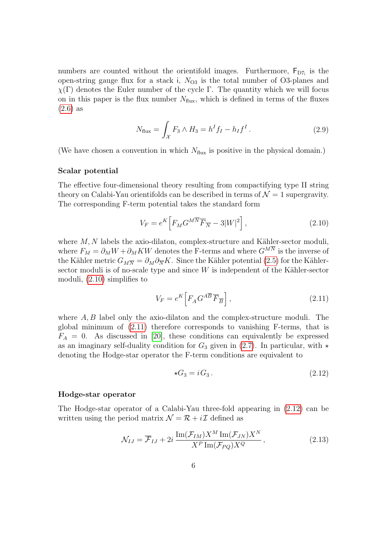numbers are counted without the orientifold images. Furthermore,  $F_{D7_i}$  is the open-string gauge flux for a stack i,  $N_{\text{O3}}$  is the total number of O3-planes and  $\chi(\Gamma)$  denotes the Euler number of the cycle Γ. The quantity which we will focus on in this paper is the flux number  $N_{\text{flux}}$ , which is defined in terms of the fluxes [\(2.6\)](#page-4-0) as

$$
N_{\text{flux}} = \int_{\mathcal{X}} F_3 \wedge H_3 = h^I f_I - h_I f^I. \tag{2.9}
$$

(We have chosen a convention in which  $N_{\text{flux}}$  is positive in the physical domain.)

### Scalar potential

The effective four-dimensional theory resulting from compactifying type II string theory on Calabi-Yau orientifolds can be described in terms of  $\mathcal{N}=1$  supergravity. The corresponding F-term potential takes the standard form

$$
V_F = e^K \left[ F_M G^{M \overline{N}} \overline{F}_{\overline{N}} - 3|W|^2 \right],\tag{2.10}
$$

<span id="page-5-0"></span>where  $M, N$  labels the axio-dilaton, complex-structure and Kähler-sector moduli, where  $F_M = \partial_M W + \partial_M KW$  denotes the F-terms and where  $G^{M\overline{N}}$  is the inverse of the Kähler metric  $G_{M\overline{N}} = \partial_M \partial_{\overline{N}} K$ . Since the Kähler potential [\(2.5\)](#page-4-1) for the Kählersector moduli is of no-scale type and since  $W$  is independent of the Kähler-sector moduli, [\(2.10\)](#page-5-0) simplifies to

$$
V_F = e^K \left[ F_A G^{A\overline{B}} \overline{F}_{\overline{B}} \right],\tag{2.11}
$$

<span id="page-5-1"></span>where  $A, B$  label only the axio-dilaton and the complex-structure moduli. The global minimum of [\(2.11\)](#page-5-1) therefore corresponds to vanishing F-terms, that is  $F_A = 0$ . As discussed in [\[20\]](#page-22-5), these conditions can equivalently be expressed as an imaginary self-duality condition for  $G_3$  given in [\(2.7\)](#page-4-2). In particular, with  $\star$ denoting the Hodge-star operator the F-term conditions are equivalent to

$$
\star G_3 = i G_3. \tag{2.12}
$$

#### <span id="page-5-2"></span>Hodge-star operator

<span id="page-5-3"></span>The Hodge-star operator of a Calabi-Yau three-fold appearing in [\(2.12\)](#page-5-2) can be written using the period matrix  $\mathcal{N} = \mathcal{R} + i\mathcal{I}$  defined as

$$
\mathcal{N}_{IJ} = \overline{\mathcal{F}}_{IJ} + 2i \frac{\operatorname{Im}(\mathcal{F}_{IM}) X^M \operatorname{Im}(\mathcal{F}_{JN}) X^N}{X^P \operatorname{Im}(\mathcal{F}_{PQ}) X^Q}, \qquad (2.13)
$$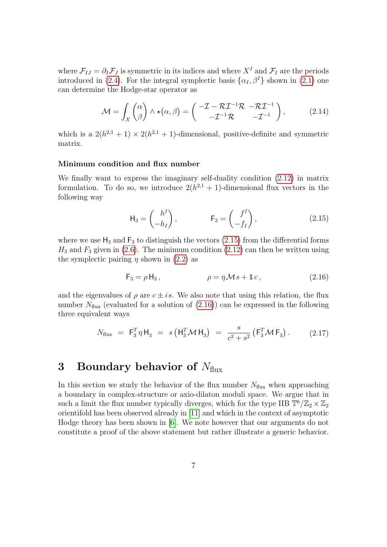where  $\mathcal{F}_{IJ} = \partial_I \mathcal{F}_J$  is symmetric in its indices and where  $X^I$  and  $\mathcal{F}_I$  are the periods introduced in [\(2.4\)](#page-3-2). For the integral symplectic basis  $\{\alpha_I, \beta^I\}$  shown in [\(2.1\)](#page-3-1) one can determine the Hodge-star operator as

$$
\mathcal{M} = \int_{\mathcal{X}} {\alpha \choose \beta} \wedge \star (\alpha, \beta) = {\mathbf{I} - \mathcal{R} \mathcal{I}^{-1} \mathcal{R} - \mathcal{R} \mathcal{I}^{-1} \choose -\mathcal{I}^{-1} \mathcal{R} -\mathcal{I}^{-1}},
$$
(2.14)

<span id="page-6-3"></span>which is a  $2(h^{2,1}+1) \times 2(h^{2,1}+1)$ -dimensional, positive-definite and symmetric matrix.

### Minimum condition and flux number

We finally want to express the imaginary self-duality condition [\(2.12\)](#page-5-2) in matrix formulation. To do so, we introduce  $2(h^{2,1}+1)$ -dimensional flux vectors in the following way

$$
\mathsf{H}_3 = \begin{pmatrix} h^I \\ -h_I \end{pmatrix}, \qquad \qquad \mathsf{F}_3 = \begin{pmatrix} f^I \\ -f_I \end{pmatrix}, \tag{2.15}
$$

<span id="page-6-1"></span>where we use  $H_3$  and  $F_3$  to distinguish the vectors [\(2.15\)](#page-6-1) from the differential forms  $H_3$  and  $F_3$  given in [\(2.6\)](#page-4-0). The minimum condition [\(2.12\)](#page-5-2) can then be written using the symplectic pairing  $\eta$  shown in [\(2.2\)](#page-3-3) as

$$
\mathsf{F}_3 = \rho \,\mathsf{H}_3 \,, \qquad \qquad \rho = \eta \,\mathcal{M}\,\mathit{s} + \mathbb{1}\,\mathit{c} \,, \tag{2.16}
$$

<span id="page-6-2"></span>and the eigenvalues of  $\rho$  are  $c \pm i s$ . We also note that using this relation, the flux number  $N_{\text{flux}}$  (evaluated for a solution of  $(2.16)$ ) can be expressed in the following three equivalent ways

$$
N_{\text{flux}} = \mathsf{F}_3^T \eta \, \mathsf{H}_3 = s \left( \mathsf{H}_3^T \mathcal{M} \, \mathsf{H}_3 \right) = \frac{s}{c^2 + s^2} \left( \mathsf{F}_3^T \mathcal{M} \, \mathsf{F}_3 \right). \tag{2.17}
$$

# <span id="page-6-4"></span><span id="page-6-0"></span>3 Boundary behavior of  $N_{\text{flux}}$

In this section we study the behavior of the flux number  $N_{\text{flux}}$  when approaching a boundary in complex-structure or axio-dilaton moduli space. We argue that in such a limit the flux number typically diverges, which for the type IIB  $\mathbb{T}^6/\mathbb{Z}_2 \times \mathbb{Z}_2$ orientifold has been observed already in [\[11\]](#page-21-8) and which in the context of asymptotic Hodge theory has been shown in [\[6\]](#page-21-3). We note however that our arguments do not constitute a proof of the above statement but rather illustrate a generic behavior.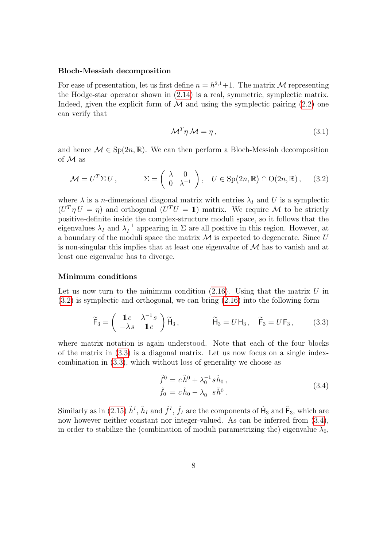#### Bloch-Messiah decomposition

For ease of presentation, let us first define  $n = h^{2,1} + 1$ . The matrix M representing the Hodge-star operator shown in [\(2.14\)](#page-6-3) is a real, symmetric, symplectic matrix. Indeed, given the explicit form of  $\mathcal M$  and using the symplectic pairing [\(2.2\)](#page-3-3) one can verify that

$$
\mathcal{M}^T \eta \mathcal{M} = \eta, \tag{3.1}
$$

and hence  $\mathcal{M} \in \text{Sp}(2n, \mathbb{R})$ . We can then perform a Bloch-Messiah decomposition of M as

<span id="page-7-0"></span>
$$
\mathcal{M} = U^T \Sigma U, \qquad \Sigma = \begin{pmatrix} \lambda & 0 \\ 0 & \lambda^{-1} \end{pmatrix}, \quad U \in \text{Sp}(2n, \mathbb{R}) \cap O(2n, \mathbb{R}), \quad (3.2)
$$

where  $\lambda$  is a *n*-dimensional diagonal matrix with entries  $\lambda_I$  and U is a symplectic  $(U^T \eta U = \eta)$  and orthogonal  $(U^T U = 1)$  matrix. We require M to be strictly positive-definite inside the complex-structure moduli space, so it follows that the eigenvalues  $\lambda_I$  and  $\lambda_I^{-1}$  $I_I^{-1}$  appearing in  $\Sigma$  are all positive in this region. However, at a boundary of the moduli space the matrix  $\mathcal M$  is expected to degenerate. Since  $U$ is non-singular this implies that at least one eigenvalue of  $\mathcal M$  has to vanish and at least one eigenvalue has to diverge.

### Minimum conditions

Let us now turn to the minimum condition  $(2.16)$ . Using that the matrix U in [\(3.2\)](#page-7-0) is symplectic and orthogonal, we can bring [\(2.16\)](#page-6-2) into the following form

$$
\widetilde{\mathsf{F}}_3 = \begin{pmatrix} 1c & \lambda^{-1}s \\ -\lambda s & 1c \end{pmatrix} \widetilde{\mathsf{H}}_3, \qquad \widetilde{\mathsf{H}}_3 = U\mathsf{H}_3, \quad \widetilde{\mathsf{F}}_3 = U\mathsf{F}_3, \qquad (3.3)
$$

<span id="page-7-1"></span>where matrix notation is again understood. Note that each of the four blocks of the matrix in [\(3.3\)](#page-7-1) is a diagonal matrix. Let us now focus on a single indexcombination in [\(3.3\)](#page-7-1), which without loss of generality we choose as

$$
\tilde{f}^{0} = c \tilde{h}^{0} + \lambda_{0}^{-1} s \tilde{h}_{0}, \n\tilde{f}_{0} = c \tilde{h}_{0} - \lambda_{0} s \tilde{h}^{0}.
$$
\n(3.4)

<span id="page-7-2"></span>Similarly as in [\(2.15\)](#page-6-1)  $\tilde{h}^I$ ,  $\tilde{h}_I$  and  $\tilde{f}^I$ ,  $\tilde{f}_I$  are the components of  $\tilde{H}_3$  and  $\tilde{F}_3$ , which are now however neither constant nor integer-valued. As can be inferred from  $(3.4)$ , in order to stabilize the (combination of moduli parametrizing the) eigenvalue  $\lambda_0$ ,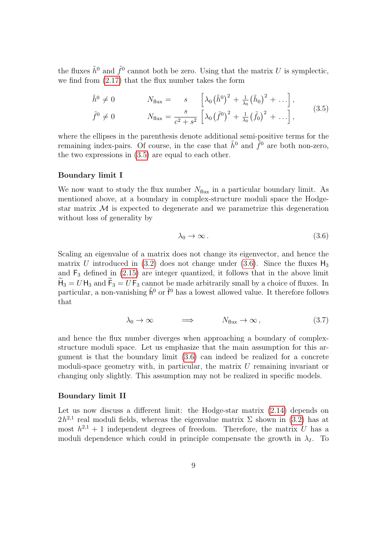the fluxes  $\tilde{h}^0$  and  $\tilde{f}^0$  cannot both be zero. Using that the matrix U is symplectic, we find from [\(2.17\)](#page-6-4) that the flux number takes the form

$$
\tilde{h}^{0} \neq 0 \qquad N_{\text{flux}} = s \left[ \lambda_{0} (\tilde{h}^{0})^{2} + \frac{1}{\lambda_{0}} (\tilde{h}_{0})^{2} + \ldots \right],
$$
\n
$$
\tilde{f}^{0} \neq 0 \qquad N_{\text{flux}} = \frac{s}{c^{2} + s^{2}} \left[ \lambda_{0} (\tilde{f}^{0})^{2} + \frac{1}{\lambda_{0}} (\tilde{f}_{0})^{2} + \ldots \right],
$$
\n(3.5)

<span id="page-8-0"></span>where the ellipses in the parenthesis denote additional semi-positive terms for the remaining index-pairs. Of course, in the case that  $\tilde{h}^0$  and  $\tilde{f}^0$  are both non-zero, the two expressions in  $(3.5)$  are equal to each other.

### Boundary limit I

We now want to study the flux number  $N_{\text{flux}}$  in a particular boundary limit. As mentioned above, at a boundary in complex-structure moduli space the Hodgestar matrix  $\mathcal M$  is expected to degenerate and we parametrize this degeneration without loss of generality by

$$
\lambda_0 \to \infty \,. \tag{3.6}
$$

<span id="page-8-1"></span>Scaling an eigenvalue of a matrix does not change its eigenvector, and hence the matrix U introduced in [\(3.2\)](#page-7-0) does not change under [\(3.6\)](#page-8-1). Since the fluxes  $H_3$ and  $F_3$  defined in  $(2.15)$  are integer quantized, it follows that in the above limit  $H_3 = U H_3$  and  $F_3 = U F_3$  cannot be made arbitrarily small by a choice of fluxes. In particular, a non-vanishing  $\tilde{h}^0$  or  $\tilde{f}^0$  has a lowest allowed value. It therefore follows that

$$
\lambda_0 \to \infty \qquad \Longrightarrow \qquad N_{\text{flux}} \to \infty \,, \tag{3.7}
$$

and hence the flux number diverges when approaching a boundary of complexstructure moduli space. Let us emphasize that the main assumption for this argument is that the boundary limit [\(3.6\)](#page-8-1) can indeed be realized for a concrete moduli-space geometry with, in particular, the matrix  $U$  remaining invariant or changing only slightly. This assumption may not be realized in specific models.

### Boundary limit II

Let us now discuss a different limit: the Hodge-star matrix  $(2.14)$  depends on  $2h^{2,1}$  real moduli fields, whereas the eigenvalue matrix  $\Sigma$  shown in [\(3.2\)](#page-7-0) has at most  $h^{2,1} + 1$  independent degrees of freedom. Therefore, the matrix U has a moduli dependence which could in principle compensate the growth in  $\lambda_I$ . To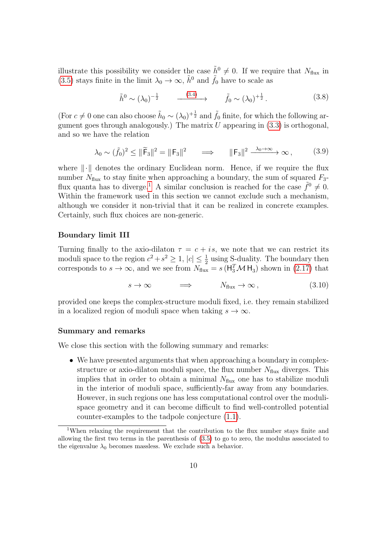illustrate this possibility we consider the case  $\tilde{h}^0 \neq 0$ . If we require that  $N_{\text{flux}}$  in [\(3.5\)](#page-8-0) stays finite in the limit  $\lambda_0 \to \infty$ ,  $\tilde{h}^0$  and  $\tilde{f}_0$  have to scale as

$$
\tilde{h}^0 \sim (\lambda_0)^{-\frac{1}{2}} \qquad \xrightarrow{\qquad (3.4)} \qquad \tilde{f}_0 \sim (\lambda_0)^{+\frac{1}{2}}. \tag{3.8}
$$

(For  $c \neq 0$  one can also choose  $\tilde{h}_0 \sim (\lambda_0)^{+\frac{1}{2}}$  and  $\tilde{f}_0$  finite, for which the following argument goes through analogously.) The matrix  $U$  appearing in  $(3.3)$  is orthogonal, and so we have the relation

$$
\lambda_0 \sim (\tilde{f}_0)^2 \le ||\tilde{F}_3||^2 = ||F_3||^2 \qquad \Longrightarrow \qquad ||F_3||^2 \xrightarrow{\lambda_0 \to \infty} \infty , \tag{3.9}
$$

<span id="page-9-1"></span>where  $\|\cdot\|$  denotes the ordinary Euclidean norm. Hence, if we require the flux number  $N_{\text{flux}}$  to stay finite when approaching a boundary, the sum of squared  $F_3$ -flux quanta has to diverge.<sup>[1](#page-9-0)</sup> A similar conclusion is reached for the case  $\tilde{f}^0 \neq 0$ . Within the framework used in this section we cannot exclude such a mechanism, although we consider it non-trivial that it can be realized in concrete examples. Certainly, such flux choices are non-generic.

### Boundary limit III

Turning finally to the axio-dilaton  $\tau = c + i s$ , we note that we can restrict its moduli space to the region  $c^2 + s^2 \geq 1$ ,  $|c| \leq \frac{1}{2}$  using S-duality. The boundary then corresponds to  $s \to \infty$ , and we see from  $N_{\text{flux}} = s \left( \mathsf{H}_3^T \mathcal{M} \mathsf{H}_3 \right)$  shown in [\(2.17\)](#page-6-4) that

$$
s \to \infty \qquad \Longrightarrow \qquad N_{\text{flux}} \to \infty \,, \tag{3.10}
$$

provided one keeps the complex-structure moduli fixed, i.e. they remain stabilized in a localized region of moduli space when taking  $s \to \infty$ .

### Summary and remarks

We close this section with the following summary and remarks:

• We have presented arguments that when approaching a boundary in complexstructure or axio-dilaton moduli space, the flux number  $N_{\text{flux}}$  diverges. This implies that in order to obtain a minimal  $N_{\text{flux}}$  one has to stabilize moduli in the interior of moduli space, sufficiently-far away from any boundaries. However, in such regions one has less computational control over the modulispace geometry and it can become difficult to find well-controlled potential counter-examples to the tadpole conjecture [\(1.1\)](#page-2-0).

<span id="page-9-0"></span><sup>&</sup>lt;sup>1</sup>When relaxing the requirement that the contribution to the flux number stays finite and allowing the first two terms in the parenthesis of [\(3.5\)](#page-8-0) to go to zero, the modulus associated to the eigenvalue  $\lambda_0$  becomes massless. We exclude such a behavior.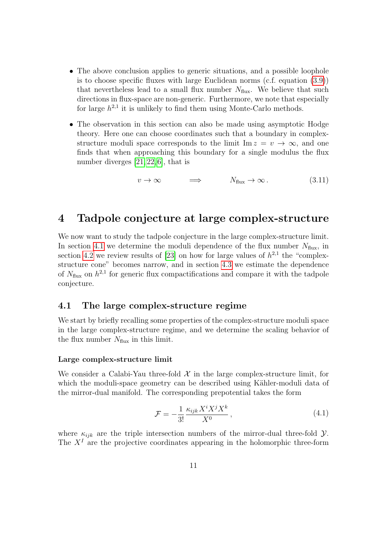- The above conclusion applies to generic situations, and a possible loophole is to choose specific fluxes with large Euclidean norms (c.f. equation [\(3.9\)](#page-9-1)) that nevertheless lead to a small flux number  $N_{\text{flux}}$ . We believe that such directions in flux-space are non-generic. Furthermore, we note that especially for large  $h^{2,1}$  it is unlikely to find them using Monte-Carlo methods.
- The observation in this section can also be made using asymptotic Hodge theory. Here one can choose coordinates such that a boundary in complexstructure moduli space corresponds to the limit  $\text{Im } z = v \to \infty$ , and one finds that when approaching this boundary for a single modulus the flux number diverges [\[21,](#page-22-6) [22,](#page-22-7) [6\]](#page-21-3), that is

$$
v \to \infty \qquad \Longrightarrow \qquad N_{\text{flux}} \to \infty \,. \tag{3.11}
$$

### <span id="page-10-0"></span>4 Tadpole conjecture at large complex-structure

We now want to study the tadpole conjecture in the large complex-structure limit. In section [4.1](#page-10-1) we determine the moduli dependence of the flux number  $N_{\text{flux}}$ , in section [4.2](#page-13-0) we review results of [\[23\]](#page-22-8) on how for large values of  $h^{2,1}$  the "complexstructure cone" becomes narrow, and in section [4.3](#page-15-0) we estimate the dependence of  $N_{\text{flux}}$  on  $h^{2,1}$  for generic flux compactifications and compare it with the tadpole conjecture.

### <span id="page-10-1"></span>4.1 The large complex-structure regime

We start by briefly recalling some properties of the complex-structure moduli space in the large complex-structure regime, and we determine the scaling behavior of the flux number  $N_{\text{flux}}$  in this limit.

### Large complex-structure limit

We consider a Calabi-Yau three-fold  $\mathcal X$  in the large complex-structure limit, for which the moduli-space geometry can be described using Kähler-moduli data of the mirror-dual manifold. The corresponding prepotential takes the form

$$
\mathcal{F} = -\frac{1}{3!} \frac{\kappa_{ijk} X^i X^j X^k}{X^0},\tag{4.1}
$$

<span id="page-10-2"></span>where  $\kappa_{ijk}$  are the triple intersection numbers of the mirror-dual three-fold  $\mathcal{Y}$ . The  $X<sup>I</sup>$  are the projective coordinates appearing in the holomorphic three-form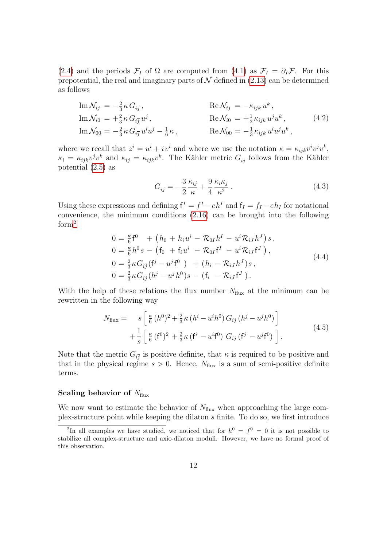[\(2.4\)](#page-3-2) and the periods  $\mathcal{F}_I$  of  $\Omega$  are computed from [\(4.1\)](#page-10-2) as  $\mathcal{F}_I = \partial_I \mathcal{F}$ . For this prepotential, the real and imaginary parts of  $N$  defined in [\(2.13\)](#page-5-3) can be determined as follows

$$
\begin{aligned}\n\text{Im}\,\mathcal{N}_{ij} &= -\frac{2}{3}\kappa\,G_{i\bar{j}}\,, & \text{Re}\,\mathcal{N}_{ij} &= -\kappa_{ijk}\,u^k\,, \\
\text{Im}\,\mathcal{N}_{i0} &= +\frac{2}{3}\kappa\,G_{i\bar{j}}\,u^j\,, & \text{Re}\,\mathcal{N}_{i0} &= +\frac{1}{2}\kappa_{ijk}\,u^j u^k\,, & (4.2) \\
\text{Im}\,\mathcal{N}_{00} &= -\frac{2}{3}\kappa\,G_{i\bar{j}}\,u^i u^j - \frac{1}{6}\kappa\,, & \text{Re}\,\mathcal{N}_{00} &= -\frac{1}{3}\kappa_{ijk}\,u^i u^j u^k\,,\n\end{aligned}
$$

where we recall that  $z^i = u^i + iv^i$  and where we use the notation  $\kappa = \kappa_{ijk}v^iv^jv^k$ ,  $\kappa_i = \kappa_{ijk} v^j v^k$  and  $\kappa_{ij} = \kappa_{ijk} v^k$ . The Kähler metric  $G_{i\bar{j}}$  follows from the Kähler potential [\(2.5\)](#page-4-1) as

$$
G_{i\bar{j}} = -\frac{3}{2} \frac{\kappa_{ij}}{\kappa} + \frac{9}{4} \frac{\kappa_i \kappa_j}{\kappa^2} \,. \tag{4.3}
$$

Using these expressions and defining  $f^I = f^I - ch^I$  and  $f_I = f_I - ch_I$  for notational convenience, the minimum conditions [\(2.16\)](#page-6-2) can be brought into the following form<sup>[2](#page-11-0)</sup>

$$
0 = \frac{\kappa}{6} \mathbf{f}^0 + (h_0 + h_i u^i - \mathcal{R}_{0I} h^I - u^i \mathcal{R}_{iJ} h^J) s,
$$
  
\n
$$
0 = \frac{\kappa}{6} h^0 s - (\mathbf{f}_0 + \mathbf{f}_i u^i - \mathcal{R}_{0I} \mathbf{f}^I - u^i \mathcal{R}_{iJ} \mathbf{f}^J),
$$
  
\n
$$
0 = \frac{2}{3} \kappa G_{i\overline{j}} (\mathbf{f}^j - u^j \mathbf{f}^0) + (h_i - \mathcal{R}_{iJ} h^J) s,
$$
  
\n
$$
0 = \frac{2}{3} \kappa G_{i\overline{j}} (h^j - u^j h^0) s - (\mathbf{f}_i - \mathcal{R}_{iJ} \mathbf{f}^J).
$$
\n(4.4)

With the help of these relations the flux number  $N_{\text{flux}}$  at the minimum can be rewritten in the following way

$$
N_{\text{flux}} = s \left[ \frac{\kappa}{6} (h^0)^2 + \frac{2}{3} \kappa (h^i - u^i h^0) G_{ij} (h^j - u^j h^0) \right] + \frac{1}{s} \left[ \frac{\kappa}{6} (f^0)^2 + \frac{2}{3} \kappa (f^i - u^i f^0) G_{ij} (f^j - u^j f^0) \right].
$$
 (4.5)

<span id="page-11-1"></span>Note that the metric  $G_{i\bar{j}}$  is positive definite, that  $\kappa$  is required to be positive and that in the physical regime  $s > 0$ . Hence,  $N_{\text{flux}}$  is a sum of semi-positive definite terms.

#### Scaling behavior of  $N_{\text{flux}}$

We now want to estimate the behavior of  $N_{\text{flux}}$  when approaching the large complex-structure point while keeping the dilaton s finite. To do so, we first introduce

<span id="page-11-0"></span><sup>&</sup>lt;sup>2</sup>In all examples we have studied, we noticed that for  $h^0 = f^0 = 0$  it is not possible to stabilize all complex-structure and axio-dilaton moduli. However, we have no formal proof of this observation.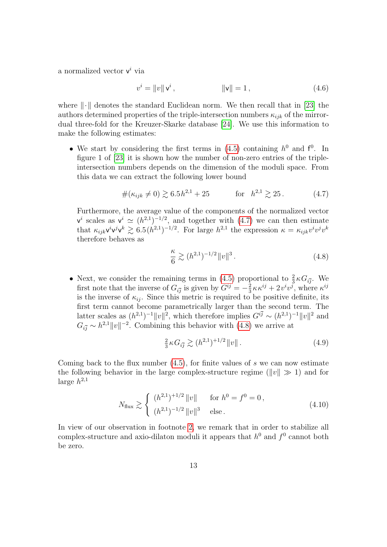a normalized vector  $v^i$  via

$$
v^{i} = \|v\| \mathbf{v}^{i}, \qquad \|\mathbf{v}\| = 1, \tag{4.6}
$$

where  $\|\cdot\|$  denotes the standard Euclidean norm. We then recall that in [\[23\]](#page-22-8) the authors determined properties of the triple-intersection numbers  $\kappa_{ijk}$  of the mirrordual three-fold for the Kreuzer-Skarke database [\[24\]](#page-22-9). We use this information to make the following estimates:

• We start by considering the first terms in  $(4.5)$  containing  $h^0$  and  $f^0$ . In figure 1 of [\[23\]](#page-22-8) it is shown how the number of non-zero entries of the tripleintersection numbers depends on the dimension of the moduli space. From this data we can extract the following lower bound

$$
\#(\kappa_{ijk} \neq 0) \gtrsim 6.5h^{2,1} + 25 \qquad \text{for} \quad h^{2,1} \gtrsim 25. \tag{4.7}
$$

<span id="page-12-0"></span>Furthermore, the average value of the components of the normalized vector  $v^i$  scales as  $v^i \simeq (h^{2,1})^{-1/2}$ , and together with  $(4.7)$  we can then estimate that  $\kappa_{ijk} \mathbf{v}^i \mathbf{v}^j \mathbf{v}^k \geq 6.5(h^{2,1})^{-1/2}$ . For large  $h^{2,1}$  the expression  $\kappa = \kappa_{ijk} v^i v^j v^k$ therefore behaves as

$$
\frac{\kappa}{6} \gtrsim (h^{2,1})^{-1/2} ||v||^3. \tag{4.8}
$$

<span id="page-12-1"></span>• Next, we consider the remaining terms in [\(4.5\)](#page-11-1) proportional to  $\frac{2}{3}\kappa G_{i\bar{j}}$ . We first note that the inverse of  $G_{i\bar{j}}$  is given by  $G^{i\bar{j}} = -\frac{2}{3}$  $\frac{2}{3}\kappa\kappa^{ij}+2v^iv^j$ , where  $\kappa^{ij}$ is the inverse of  $\kappa_{ij}$ . Since this metric is required to be positive definite, its first term cannot become parametrically larger than the second term. The latter scales as  $(h^{2,1})^{-1}||v||^2$ , which therefore implies  $G^{i\bar{j}} \sim (h^{2,1})^{-1}||v||^2$  and  $G_{i\bar{j}} \sim h^{2,1} ||v||^{-2}$ . Combining this behavior with [\(4.8\)](#page-12-1) we arrive at

$$
\frac{2}{3}\kappa G_{i\bar{j}} \gtrsim (h^{2,1})^{+1/2} \|v\| \,. \tag{4.9}
$$

Coming back to the flux number  $(4.5)$ , for finite values of s we can now estimate the following behavior in the large complex-structure regime ( $||v|| \gg 1$ ) and for large  $h^{2,1}$ 

$$
N_{\text{flux}} \gtrsim \begin{cases} (h^{2,1})^{+1/2} ||v|| & \text{for } h^0 = f^0 = 0, \\ (h^{2,1})^{-1/2} ||v||^3 & \text{else.} \end{cases}
$$
(4.10)

<span id="page-12-2"></span>In view of our observation in footnote [2,](#page-11-0) we remark that in order to stabilize all complex-structure and axio-dilaton moduli it appears that  $h^0$  and  $f^0$  cannot both be zero.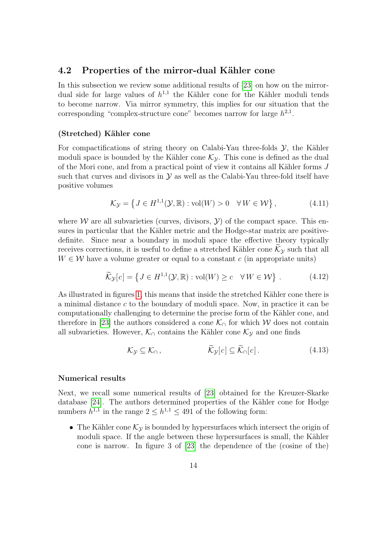### <span id="page-13-0"></span>4.2 Properties of the mirror-dual Kähler cone

In this subsection we review some additional results of [\[23\]](#page-22-8) on how on the mirrordual side for large values of  $h^{1,1}$  the Kähler cone for the Kähler moduli tends to become narrow. Via mirror symmetry, this implies for our situation that the corresponding "complex-structure cone" becomes narrow for large  $h^{2,1}$ .

### (Stretched) Kähler cone

For compactifications of string theory on Calabi-Yau three-folds  $\mathcal{Y}$ , the Kähler moduli space is bounded by the Kähler cone  $\mathcal{K}_{\gamma}$ . This cone is defined as the dual of the Mori cone, and from a practical point of view it contains all Kähler forms  $J$ such that curves and divisors in  $\mathcal Y$  as well as the Calabi-Yau three-fold itself have positive volumes

$$
\mathcal{K}_{\mathcal{Y}} = \left\{ J \in H^{1,1}(\mathcal{Y}, \mathbb{R}) : \text{vol}(W) > 0 \quad \forall W \in \mathcal{W} \right\},\tag{4.11}
$$

where W are all subvarieties (curves, divisors,  $\mathcal{Y}$ ) of the compact space. This ensures in particular that the Kähler metric and the Hodge-star matrix are positivedefinite. Since near a boundary in moduli space the effective theory typically receives corrections, it is useful to define a stretched Kähler cone  $\mathcal{K}_{\mathcal{Y}}$  such that all  $W \in \mathcal{W}$  have a volume greater or equal to a constant c (in appropriate units)

$$
\widetilde{\mathcal{K}}_{\mathcal{Y}}[c] = \left\{ J \in H^{1,1}(\mathcal{Y}, \mathbb{R}) : \text{vol}(W) \ge c \quad \forall W \in \mathcal{W} \right\}. \tag{4.12}
$$

<span id="page-13-1"></span>As illustrated in figures [1,](#page-14-0) this means that inside the stretched Kähler cone there is a minimal distance c to the boundary of moduli space. Now, in practice it can be computationally challenging to determine the precise form of the Kähler cone, and therefore in [\[23\]](#page-22-8) the authors considered a cone  $\mathcal{K}_{\cap}$  for which W does not contain all subvarieties. However,  $\mathcal{K}_{\cap}$  contains the Kähler cone  $\mathcal{K}_{\mathcal{Y}}$  and one finds

$$
\mathcal{K}_{\mathcal{Y}} \subseteq \mathcal{K}_{\cap}, \qquad \qquad \mathcal{K}_{\mathcal{Y}}[c] \subseteq \mathcal{K}_{\cap}[c]. \qquad (4.13)
$$

### Numerical results

Next, we recall some numerical results of [\[23\]](#page-22-8) obtained for the Kreuzer-Skarke database [\[24\]](#page-22-9). The authors determined properties of the Kähler cone for Hodge numbers  $h^{1,1}$  in the range  $2 \leq h^{1,1} \leq 491$  of the following form:

• The Kähler cone  $\mathcal{K}_{\mathcal{Y}}$  is bounded by hypersurfaces which intersect the origin of moduli space. If the angle between these hypersurfaces is small, the Kähler cone is narrow. In figure 3 of [\[23\]](#page-22-8) the dependence of the (cosine of the)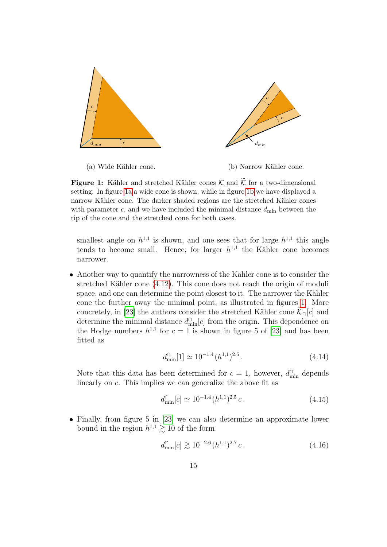<span id="page-14-0"></span>

(a) Wide Kähler cone.

(b) Narrow Kähler cone.

**Figure 1:** Kähler and stretched Kähler cones  $\mathcal{K}$  and  $\widetilde{\mathcal{K}}$  for a two-dimensional setting. In figure [1a](#page-14-0) a wide cone is shown, while in figure [1b](#page-14-0) we have displayed a narrow Kähler cone. The darker shaded regions are the stretched Kähler cones with parameter c, and we have included the minimal distance  $d_{\min}$  between the tip of the cone and the stretched cone for both cases.

smallest angle on  $h^{1,1}$  is shown, and one sees that for large  $h^{1,1}$  this angle tends to become small. Hence, for larger  $h^{1,1}$  the Kähler cone becomes narrower.

• Another way to quantify the narrowness of the Kähler cone is to consider the stretched Kähler cone  $(4.12)$ . This cone does not reach the origin of moduli space, and one can determine the point closest to it. The narrower the Kähler cone the further away the minimal point, as illustrated in figures [1.](#page-14-0) More concretely, in [\[23\]](#page-22-8) the authors consider the stretched Kähler cone  $\widetilde{\mathcal{K}}_{\cap}[c]$  and determine the minimal distance  $d_{\min}^{\cap}[c]$  from the origin. This dependence on the Hodge numbers  $h^{1,1}$  for  $c = 1$  is shown in figure 5 of [\[23\]](#page-22-8) and has been fitted as

$$
d_{\min}^{\cap}[1] \simeq 10^{-1.4} (h^{1,1})^{2.5} \,. \tag{4.14}
$$

Note that this data has been determined for  $c = 1$ , however,  $d_{\min}^{\cap}$  depends linearly on c. This implies we can generalize the above fit as

$$
d_{\min}^{\cap}[c] \simeq 10^{-1.4} (h^{1,1})^{2.5} c. \tag{4.15}
$$

<span id="page-14-1"></span>• Finally, from figure 5 in [\[23\]](#page-22-8) we can also determine an approximate lower bound in the region  $h^{1,1} \geq 10$  of the form

$$
d_{\min}^{\cap}[c] \gtrsim 10^{-2.6} (h^{1,1})^{2.7} c. \tag{4.16}
$$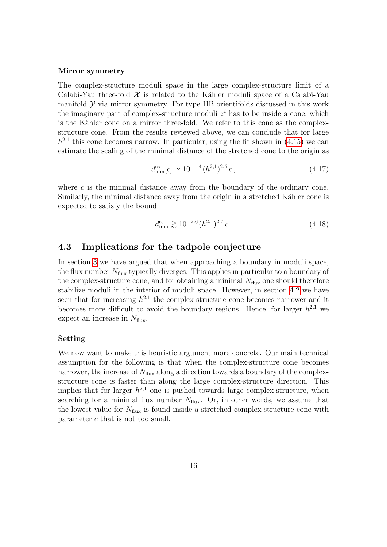### Mirror symmetry

The complex-structure moduli space in the large complex-structure limit of a Calabi-Yau three-fold  $\mathcal X$  is related to the Kähler moduli space of a Calabi-Yau manifold  $\mathcal Y$  via mirror symmetry. For type IIB orientifolds discussed in this work the imaginary part of complex-structure moduli  $z<sup>i</sup>$  has to be inside a cone, which is the Kähler cone on a mirror three-fold. We refer to this cone as the complexstructure cone. From the results reviewed above, we can conclude that for large  $h^{2,1}$  this cone becomes narrow. In particular, using the fit shown in [\(4.15\)](#page-14-1) we can estimate the scaling of the minimal distance of the stretched cone to the origin as

$$
d_{\min}^{\text{cs}}[c] \simeq 10^{-1.4} (h^{2,1})^{2.5} c,\tag{4.17}
$$

where  $c$  is the minimal distance away from the boundary of the ordinary cone. Similarly, the minimal distance away from the origin in a stretched Kähler cone is expected to satisfy the bound

$$
d_{\min}^{\text{cs}} \gtrsim 10^{-2.6} (h^{2,1})^{2.7} c. \tag{4.18}
$$

### <span id="page-15-1"></span><span id="page-15-0"></span>4.3 Implications for the tadpole conjecture

In section [3](#page-6-0) we have argued that when approaching a boundary in moduli space, the flux number  $N_{\text{flux}}$  typically diverges. This applies in particular to a boundary of the complex-structure cone, and for obtaining a minimal  $N_{\text{flux}}$  one should therefore stabilize moduli in the interior of moduli space. However, in section [4.2](#page-13-0) we have seen that for increasing  $h^{2,1}$  the complex-structure cone becomes narrower and it becomes more difficult to avoid the boundary regions. Hence, for larger  $h^{2,1}$  we expect an increase in  $N_{\text{flux}}$ .

### Setting

We now want to make this heuristic argument more concrete. Our main technical assumption for the following is that when the complex-structure cone becomes narrower, the increase of  $N_{\text{flux}}$  along a direction towards a boundary of the complexstructure cone is faster than along the large complex-structure direction. This implies that for larger  $h^{2,1}$  one is pushed towards large complex-structure, when searching for a minimal flux number  $N_{\text{flux}}$ . Or, in other words, we assume that the lowest value for  $N_{\text{flux}}$  is found inside a stretched complex-structure cone with parameter c that is not too small.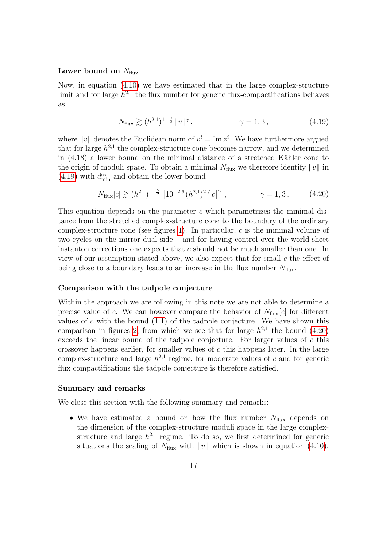### Lower bound on  $N_{\text{flux}}$

Now, in equation [\(4.10\)](#page-12-2) we have estimated that in the large complex-structure limit and for large  $h^{2,1}$  the flux number for generic flux-compactifications behaves as

$$
N_{\text{flux}} \gtrsim (h^{2,1})^{1-\frac{\gamma}{2}} \|v\|^{\gamma}, \qquad \gamma = 1, 3, \qquad (4.19)
$$

<span id="page-16-0"></span>where ||v|| denotes the Euclidean norm of  $v^i = \text{Im } z^i$ . We have furthermore argued that for large  $h^{2,1}$  the complex-structure cone becomes narrow, and we determined in  $(4.18)$  a lower bound on the minimal distance of a stretched Kähler cone to the origin of moduli space. To obtain a minimal  $N_{\text{flux}}$  we therefore identify  $||v||$  in [\(4.19\)](#page-16-0) with  $d_{\min}^{\text{cs}}$  and obtain the lower bound

$$
N_{\text{flux}}[c] \gtrsim (h^{2,1})^{1-\frac{\gamma}{2}} \left[ 10^{-2.6} (h^{2,1})^{2.7} c \right]^{\gamma}, \qquad \gamma = 1, 3. \qquad (4.20)
$$

<span id="page-16-1"></span>This equation depends on the parameter  $c$  which parametrizes the minimal distance from the stretched complex-structure cone to the boundary of the ordinary complex-structure cone (see figures [1\)](#page-14-0). In particular,  $c$  is the minimal volume of two-cycles on the mirror-dual side – and for having control over the world-sheet instanton corrections one expects that  $c$  should not be much smaller than one. In view of our assumption stated above, we also expect that for small  $c$  the effect of being close to a boundary leads to an increase in the flux number  $N_{\text{flux}}$ .

### Comparison with the tadpole conjecture

Within the approach we are following in this note we are not able to determine a precise value of c. We can however compare the behavior of  $N_{\text{flux}}[c]$  for different values of  $c$  with the bound  $(1.1)$  of the tadpole conjecture. We have shown this comparison in figures [2,](#page-17-0) from which we see that for large  $h^{2,1}$  the bound [\(4.20\)](#page-16-1) exceeds the linear bound of the tadpole conjecture. For larger values of c this crossover happens earlier, for smaller values of c this happens later. In the large complex-structure and large  $h^{2,1}$  regime, for moderate values of c and for generic flux compactifications the tadpole conjecture is therefore satisfied.

### Summary and remarks

We close this section with the following summary and remarks:

• We have estimated a bound on how the flux number  $N_{\text{flux}}$  depends on the dimension of the complex-structure moduli space in the large complexstructure and large  $h^{2,1}$  regime. To do so, we first determined for generic situations the scaling of  $N_{\text{flux}}$  with  $||v||$  which is shown in equation [\(4.10\)](#page-12-2).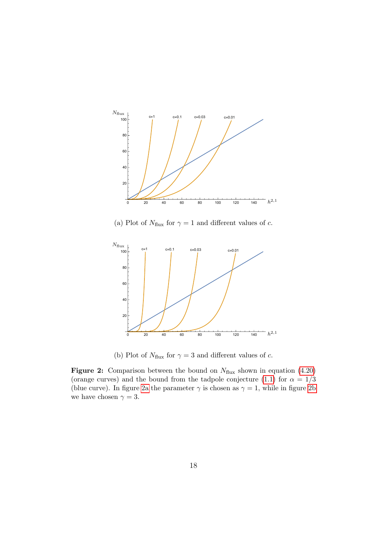<span id="page-17-0"></span>

(a) Plot of  $N_{\text{flux}}$  for  $\gamma = 1$  and different values of c.



(b) Plot of  $N_{\text{flux}}$  for  $\gamma = 3$  and different values of c.

Figure 2: Comparison between the bound on  $N_{\text{flux}}$  shown in equation [\(4.20\)](#page-16-1) (orange curves) and the bound from the tadpole conjecture [\(1.1\)](#page-2-0) for  $\alpha = 1/3$ (blue curve). In figure [2a](#page-17-0) the parameter  $\gamma$  is chosen as  $\gamma = 1$ , while in figure [2b](#page-17-0) we have chosen  $\gamma = 3$ .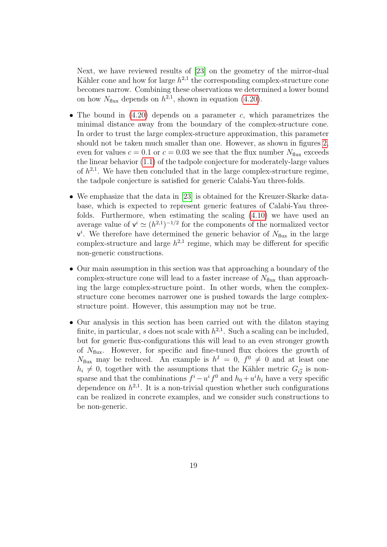Next, we have reviewed results of [\[23\]](#page-22-8) on the geometry of the mirror-dual Kähler cone and how for large  $h^{2,1}$  the corresponding complex-structure cone becomes narrow. Combining these observations we determined a lower bound on how  $N_{\text{flux}}$  depends on  $h^{2,1}$ , shown in equation [\(4.20\)](#page-16-1).

- The bound in  $(4.20)$  depends on a parameter c, which parametrizes the minimal distance away from the boundary of the complex-structure cone. In order to trust the large complex-structure approximation, this parameter should not be taken much smaller than one. However, as shown in figures [2,](#page-17-0) even for values  $c = 0.1$  or  $c = 0.03$  we see that the flux number  $N_{\text{flux}}$  exceeds the linear behavior [\(1.1\)](#page-2-0) of the tadpole conjecture for moderately-large values of  $h^{2,1}$ . We have then concluded that in the large complex-structure regime, the tadpole conjecture is satisfied for generic Calabi-Yau three-folds.
- We emphasize that the data in [\[23\]](#page-22-8) is obtained for the Kreuzer-Skarke database, which is expected to represent generic features of Calabi-Yau threefolds. Furthermore, when estimating the scaling [\(4.10\)](#page-12-2) we have used an average value of  $v^i \simeq (h^{2,1})^{-1/2}$  for the components of the normalized vector  $v^i$ . We therefore have determined the generic behavior of  $N_{\text{flux}}$  in the large complex-structure and large  $h^{2,1}$  regime, which may be different for specific non-generic constructions.
- Our main assumption in this section was that approaching a boundary of the complex-structure cone will lead to a faster increase of  $N_{\text{flux}}$  than approaching the large complex-structure point. In other words, when the complexstructure cone becomes narrower one is pushed towards the large complexstructure point. However, this assumption may not be true.
- Our analysis in this section has been carried out with the dilaton staying finite, in particular, s does not scale with  $h^{2,1}$ . Such a scaling can be included, but for generic flux-configurations this will lead to an even stronger growth of  $N_{\text{flux}}$ . However, for specific and fine-tuned flux choices the growth of  $N_{\text{flux}}$  may be reduced. An example is  $h^I = 0$ ,  $f^0 \neq 0$  and at least one  $h_i \neq 0$ , together with the assumptions that the Kähler metric  $G_{i\bar{j}}$  is nonsparse and that the combinations  $f^{i} - u^{i} f^{0}$  and  $h_0 + u^{i} h_i$  have a very specific dependence on  $h^{2,1}$ . It is a non-trivial question whether such configurations can be realized in concrete examples, and we consider such constructions to be non-generic.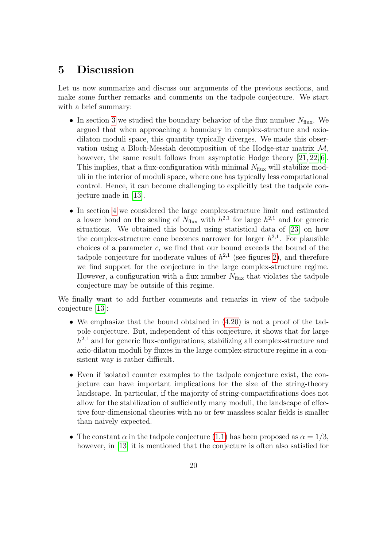# <span id="page-19-0"></span>5 Discussion

Let us now summarize and discuss our arguments of the previous sections, and make some further remarks and comments on the tadpole conjecture. We start with a brief summary:

- In section [3](#page-6-0) we studied the boundary behavior of the flux number  $N_{\text{flux}}$ . We argued that when approaching a boundary in complex-structure and axiodilaton moduli space, this quantity typically diverges. We made this observation using a Bloch-Messiah decomposition of the Hodge-star matrix  $\mathcal{M}$ , however, the same result follows from asymptotic Hodge theory [\[21,](#page-22-6) [22,](#page-22-7) [6\]](#page-21-3). This implies, that a flux-configuration with minimal  $N_{\text{flux}}$  will stabilize moduli in the interior of moduli space, where one has typically less computational control. Hence, it can become challenging to explicitly test the tadpole conjecture made in [\[13\]](#page-21-10).
- In section [4](#page-10-0) we considered the large complex-structure limit and estimated a lower bond on the scaling of  $N_{\text{flux}}$  with  $h^{2,1}$  for large  $h^{2,1}$  and for generic situations. We obtained this bound using statistical data of [\[23\]](#page-22-8) on how the complex-structure cone becomes narrower for larger  $h^{2,1}$ . For plausible choices of a parameter  $c$ , we find that our bound exceeds the bound of the tadpole conjecture for moderate values of  $h^{2,1}$  (see figures [2\)](#page-17-0), and therefore we find support for the conjecture in the large complex-structure regime. However, a configuration with a flux number  $N_{\text{flux}}$  that violates the tadpole conjecture may be outside of this regime.

We finally want to add further comments and remarks in view of the tadpole conjecture [\[13\]](#page-21-10):

- We emphasize that the bound obtained in  $(4.20)$  is not a proof of the tadpole conjecture. But, independent of this conjecture, it shows that for large  $h^{2,1}$  and for generic flux-configurations, stabilizing all complex-structure and axio-dilaton moduli by fluxes in the large complex-structure regime in a consistent way is rather difficult.
- Even if isolated counter examples to the tadpole conjecture exist, the conjecture can have important implications for the size of the string-theory landscape. In particular, if the majority of string-compactifications does not allow for the stabilization of sufficiently many moduli, the landscape of effective four-dimensional theories with no or few massless scalar fields is smaller than naively expected.
- The constant  $\alpha$  in the tadpole conjecture [\(1.1\)](#page-2-0) has been proposed as  $\alpha = 1/3$ , however, in [\[13\]](#page-21-10) it is mentioned that the conjecture is often also satisfied for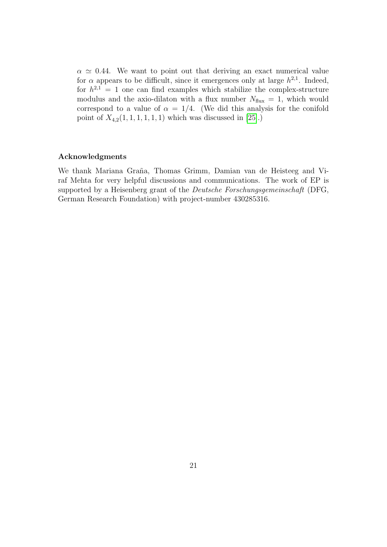$\alpha \simeq 0.44$ . We want to point out that deriving an exact numerical value for  $\alpha$  appears to be difficult, since it emergences only at large  $h^{2,1}$ . Indeed, for  $h^{2,1} = 1$  one can find examples which stabilize the complex-structure modulus and the axio-dilaton with a flux number  $N_{\text{flux}} = 1$ , which would correspond to a value of  $\alpha = 1/4$ . (We did this analysis for the conifold point of  $X_{4,2}(1, 1, 1, 1, 1, 1)$  which was discussed in [\[25\]](#page-22-10).)

### Acknowledgments

We thank Mariana Graña, Thomas Grimm, Damian van de Heisteeg and Viraf Mehta for very helpful discussions and communications. The work of EP is supported by a Heisenberg grant of the *Deutsche Forschungsgemeinschaft* (DFG, German Research Foundation) with project-number 430285316.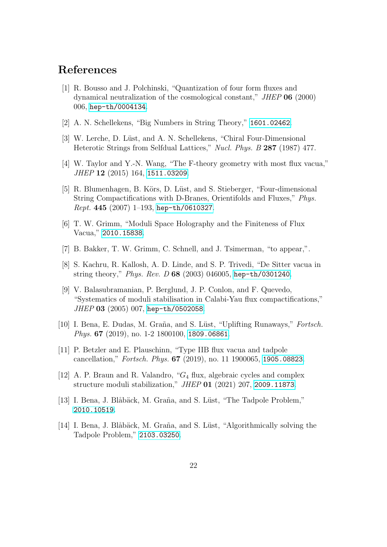# References

- <span id="page-21-0"></span>[1] R. Bousso and J. Polchinski, "Quantization of four form fluxes and dynamical neutralization of the cosmological constant," JHEP 06 (2000) 006, [hep-th/0004134](http://xxx.lanl.gov/abs/hep-th/0004134).
- [2] A. N. Schellekens, "Big Numbers in String Theory," [1601.02462](http://xxx.lanl.gov/abs/1601.02462).
- [3] W. Lerche, D. Lüst, and A. N. Schellekens, "Chiral Four-Dimensional Heterotic Strings from Selfdual Lattices," Nucl. Phys. B 287 (1987) 477.
- <span id="page-21-1"></span>[4] W. Taylor and Y.-N. Wang, "The F-theory geometry with most flux vacua," JHEP 12 (2015) 164, [1511.03209](http://xxx.lanl.gov/abs/1511.03209).
- <span id="page-21-2"></span>[5] R. Blumenhagen, B. Körs, D. Lüst, and S. Stieberger, "Four-dimensional String Compactifications with D-Branes, Orientifolds and Fluxes," Phys.  $Rept.$  445 (2007) 1-193, [hep-th/0610327](http://xxx.lanl.gov/abs/hep-th/0610327).
- <span id="page-21-3"></span>[6] T. W. Grimm, "Moduli Space Holography and the Finiteness of Flux Vacua," [2010.15838](http://xxx.lanl.gov/abs/2010.15838).
- <span id="page-21-4"></span>[7] B. Bakker, T. W. Grimm, C. Schnell, and J. Tsimerman, "to appear,".
- <span id="page-21-5"></span>[8] S. Kachru, R. Kallosh, A. D. Linde, and S. P. Trivedi, "De Sitter vacua in string theory," Phys. Rev. D 68 (2003) 046005, [hep-th/0301240](http://xxx.lanl.gov/abs/hep-th/0301240).
- <span id="page-21-6"></span>[9] V. Balasubramanian, P. Berglund, J. P. Conlon, and F. Quevedo, "Systematics of moduli stabilisation in Calabi-Yau flux compactifications," JHEP 03 (2005) 007, [hep-th/0502058](http://xxx.lanl.gov/abs/hep-th/0502058).
- <span id="page-21-7"></span>[10] I. Bena, E. Dudas, M. Graña, and S. Lüst, "Uplifting Runaways," Fortsch. Phys. 67 (2019), no. 1-2 1800100, [1809.06861](http://xxx.lanl.gov/abs/1809.06861).
- <span id="page-21-8"></span>[11] P. Betzler and E. Plauschinn, "Type IIB flux vacua and tadpole cancellation," Fortsch. Phys. 67 (2019), no. 11 1900065, [1905.08823](http://xxx.lanl.gov/abs/1905.08823).
- <span id="page-21-9"></span>[12] A. P. Braun and R. Valandro, " $G_4$  flux, algebraic cycles and complex structure moduli stabilization," JHEP 01 (2021) 207, [2009.11873](http://xxx.lanl.gov/abs/2009.11873).
- <span id="page-21-10"></span>[13] I. Bena, J. Blåbäck, M. Graña, and S. Lüst, "The Tadpole Problem," [2010.10519](http://xxx.lanl.gov/abs/2010.10519).
- <span id="page-21-11"></span>[14] I. Bena, J. Blåbäck, M. Graña, and S. Lüst, "Algorithmically solving the Tadpole Problem," [2103.03250](http://xxx.lanl.gov/abs/2103.03250).